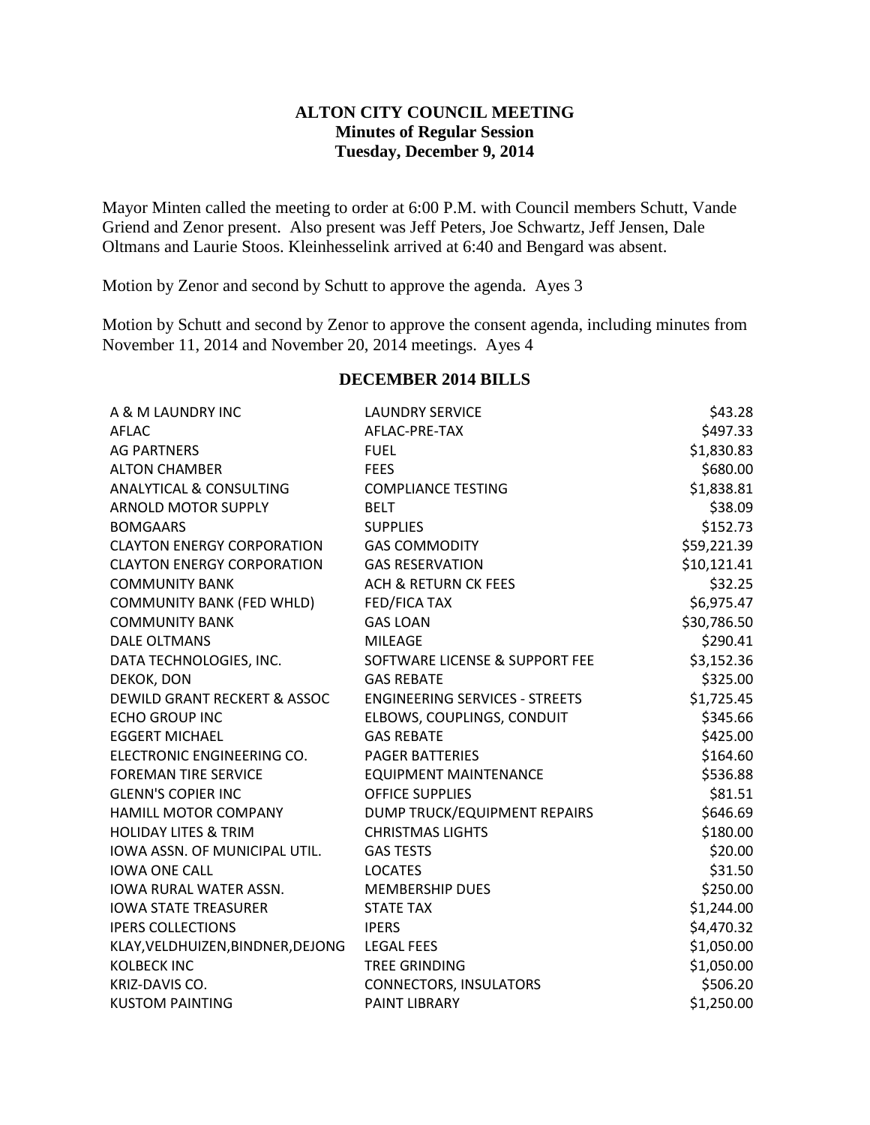### **ALTON CITY COUNCIL MEETING Minutes of Regular Session Tuesday, December 9, 2014**

Mayor Minten called the meeting to order at 6:00 P.M. with Council members Schutt, Vande Griend and Zenor present. Also present was Jeff Peters, Joe Schwartz, Jeff Jensen, Dale Oltmans and Laurie Stoos. Kleinhesselink arrived at 6:40 and Bengard was absent.

Motion by Zenor and second by Schutt to approve the agenda. Ayes 3

Motion by Schutt and second by Zenor to approve the consent agenda, including minutes from November 11, 2014 and November 20, 2014 meetings. Ayes 4

# **DECEMBER 2014 BILLS**

| A & M LAUNDRY INC                  | <b>LAUNDRY SERVICE</b>                | \$43.28     |
|------------------------------------|---------------------------------------|-------------|
| <b>AFLAC</b>                       | AFLAC-PRE-TAX                         | \$497.33    |
| <b>AG PARTNERS</b>                 | <b>FUEL</b>                           | \$1,830.83  |
| <b>ALTON CHAMBER</b>               | <b>FEES</b>                           | \$680.00    |
| <b>ANALYTICAL &amp; CONSULTING</b> | <b>COMPLIANCE TESTING</b>             | \$1,838.81  |
| <b>ARNOLD MOTOR SUPPLY</b>         | <b>BELT</b>                           | \$38.09     |
| <b>BOMGAARS</b>                    | <b>SUPPLIES</b>                       | \$152.73    |
| <b>CLAYTON ENERGY CORPORATION</b>  | <b>GAS COMMODITY</b>                  | \$59,221.39 |
| <b>CLAYTON ENERGY CORPORATION</b>  | <b>GAS RESERVATION</b>                | \$10,121.41 |
| <b>COMMUNITY BANK</b>              | <b>ACH &amp; RETURN CK FEES</b>       | \$32.25     |
| <b>COMMUNITY BANK (FED WHLD)</b>   | FED/FICA TAX                          | \$6,975.47  |
| <b>COMMUNITY BANK</b>              | <b>GAS LOAN</b>                       | \$30,786.50 |
| <b>DALE OLTMANS</b>                | <b>MILEAGE</b>                        | \$290.41    |
| DATA TECHNOLOGIES, INC.            | SOFTWARE LICENSE & SUPPORT FEE        | \$3,152.36  |
| DEKOK, DON                         | <b>GAS REBATE</b>                     | \$325.00    |
| DEWILD GRANT RECKERT & ASSOC       | <b>ENGINEERING SERVICES - STREETS</b> | \$1,725.45  |
| <b>ECHO GROUP INC</b>              | ELBOWS, COUPLINGS, CONDUIT            | \$345.66    |
| <b>EGGERT MICHAEL</b>              | <b>GAS REBATE</b>                     | \$425.00    |
| ELECTRONIC ENGINEERING CO.         | <b>PAGER BATTERIES</b>                | \$164.60    |
| <b>FOREMAN TIRE SERVICE</b>        | <b>EQUIPMENT MAINTENANCE</b>          | \$536.88    |
| <b>GLENN'S COPIER INC</b>          | <b>OFFICE SUPPLIES</b>                | \$81.51     |
| HAMILL MOTOR COMPANY               | DUMP TRUCK/EQUIPMENT REPAIRS          | \$646.69    |
| <b>HOLIDAY LITES &amp; TRIM</b>    | <b>CHRISTMAS LIGHTS</b>               | \$180.00    |
| IOWA ASSN. OF MUNICIPAL UTIL.      | <b>GAS TESTS</b>                      | \$20.00     |
| <b>IOWA ONE CALL</b>               | <b>LOCATES</b>                        | \$31.50     |
| IOWA RURAL WATER ASSN.             | <b>MEMBERSHIP DUES</b>                | \$250.00    |
| <b>IOWA STATE TREASURER</b>        | <b>STATE TAX</b>                      | \$1,244.00  |
| <b>IPERS COLLECTIONS</b>           | <b>IPERS</b>                          | \$4,470.32  |
| KLAY, VELDHUIZEN, BINDNER, DEJONG  | <b>LEGAL FEES</b>                     | \$1,050.00  |
| <b>KOLBECK INC</b>                 | <b>TREE GRINDING</b>                  | \$1,050.00  |
| KRIZ-DAVIS CO.                     | <b>CONNECTORS, INSULATORS</b>         | \$506.20    |
| <b>KUSTOM PAINTING</b>             | <b>PAINT LIBRARY</b>                  | \$1,250.00  |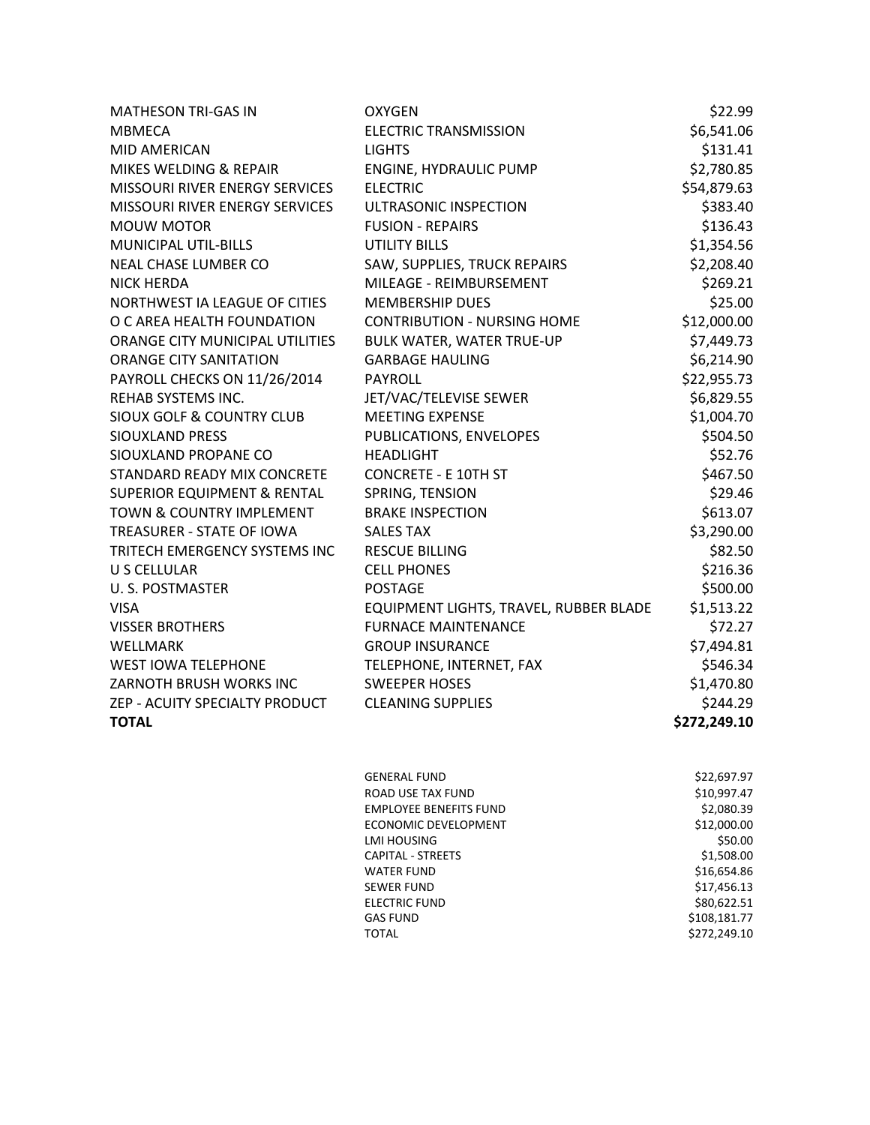| <b>MATHESON TRI-GAS IN</b>             | <b>OXYGEN</b>                          | \$22.99      |
|----------------------------------------|----------------------------------------|--------------|
| <b>MBMECA</b>                          | <b>ELECTRIC TRANSMISSION</b>           | \$6,541.06   |
| MID AMERICAN                           | <b>LIGHTS</b>                          | \$131.41     |
| MIKES WELDING & REPAIR                 | ENGINE, HYDRAULIC PUMP                 | \$2,780.85   |
| MISSOURI RIVER ENERGY SERVICES         | <b>ELECTRIC</b>                        | \$54,879.63  |
| MISSOURI RIVER ENERGY SERVICES         | ULTRASONIC INSPECTION                  | \$383.40     |
| <b>MOUW MOTOR</b>                      | <b>FUSION - REPAIRS</b>                | \$136.43     |
| MUNICIPAL UTIL-BILLS                   | <b>UTILITY BILLS</b>                   | \$1,354.56   |
| NEAL CHASE LUMBER CO                   | SAW, SUPPLIES, TRUCK REPAIRS           | \$2,208.40   |
| <b>NICK HERDA</b>                      | MILEAGE - REIMBURSEMENT                | \$269.21     |
| NORTHWEST IA LEAGUE OF CITIES          | <b>MEMBERSHIP DUES</b>                 | \$25.00      |
| O C AREA HEALTH FOUNDATION             | <b>CONTRIBUTION - NURSING HOME</b>     | \$12,000.00  |
| ORANGE CITY MUNICIPAL UTILITIES        | <b>BULK WATER, WATER TRUE-UP</b>       | \$7,449.73   |
| <b>ORANGE CITY SANITATION</b>          | <b>GARBAGE HAULING</b>                 | \$6,214.90   |
| PAYROLL CHECKS ON 11/26/2014           | <b>PAYROLL</b>                         | \$22,955.73  |
| REHAB SYSTEMS INC.                     | JET/VAC/TELEVISE SEWER                 | \$6,829.55   |
| <b>SIOUX GOLF &amp; COUNTRY CLUB</b>   | <b>MEETING EXPENSE</b>                 | \$1,004.70   |
| <b>SIOUXLAND PRESS</b>                 | PUBLICATIONS, ENVELOPES                | \$504.50     |
| SIOUXLAND PROPANE CO                   | <b>HEADLIGHT</b>                       | \$52.76      |
| STANDARD READY MIX CONCRETE            | <b>CONCRETE - E 10TH ST</b>            | \$467.50     |
| <b>SUPERIOR EQUIPMENT &amp; RENTAL</b> | SPRING, TENSION                        | \$29.46      |
| <b>TOWN &amp; COUNTRY IMPLEMENT</b>    | <b>BRAKE INSPECTION</b>                | \$613.07     |
| TREASURER - STATE OF IOWA              | <b>SALES TAX</b>                       | \$3,290.00   |
| TRITECH EMERGENCY SYSTEMS INC          | <b>RESCUE BILLING</b>                  | \$82.50      |
| U S CELLULAR                           | <b>CELL PHONES</b>                     | \$216.36     |
| U.S. POSTMASTER                        | <b>POSTAGE</b>                         | \$500.00     |
| <b>VISA</b>                            | EQUIPMENT LIGHTS, TRAVEL, RUBBER BLADE | \$1,513.22   |
| <b>VISSER BROTHERS</b>                 | <b>FURNACE MAINTENANCE</b>             | \$72.27      |
| <b>WELLMARK</b>                        | <b>GROUP INSURANCE</b>                 | \$7,494.81   |
| <b>WEST IOWA TELEPHONE</b>             | TELEPHONE, INTERNET, FAX               | \$546.34     |
| ZARNOTH BRUSH WORKS INC                | <b>SWEEPER HOSES</b>                   | \$1,470.80   |
| ZEP - ACUITY SPECIALTY PRODUCT         | <b>CLEANING SUPPLIES</b>               | \$244.29     |
| <b>TOTAL</b>                           |                                        | \$272,249.10 |
|                                        |                                        |              |

| GENERAL FUND                  | \$22,697.97  |
|-------------------------------|--------------|
| ROAD USE TAX FUND             | \$10,997.47  |
| <b>EMPLOYEE BENEFITS FUND</b> | \$2,080.39   |
| ECONOMIC DEVELOPMENT          | \$12,000.00  |
| LMI HOUSING                   | \$50.00      |
| CAPITAL - STREETS             | \$1,508.00   |
| WATER FUND                    | \$16,654.86  |
| SEWER FUND                    | \$17,456.13  |
| <b>ELECTRIC FUND</b>          | \$80,622.51  |
| GAS FUND                      | \$108,181.77 |
| TOTAL                         | \$272,249.10 |
|                               |              |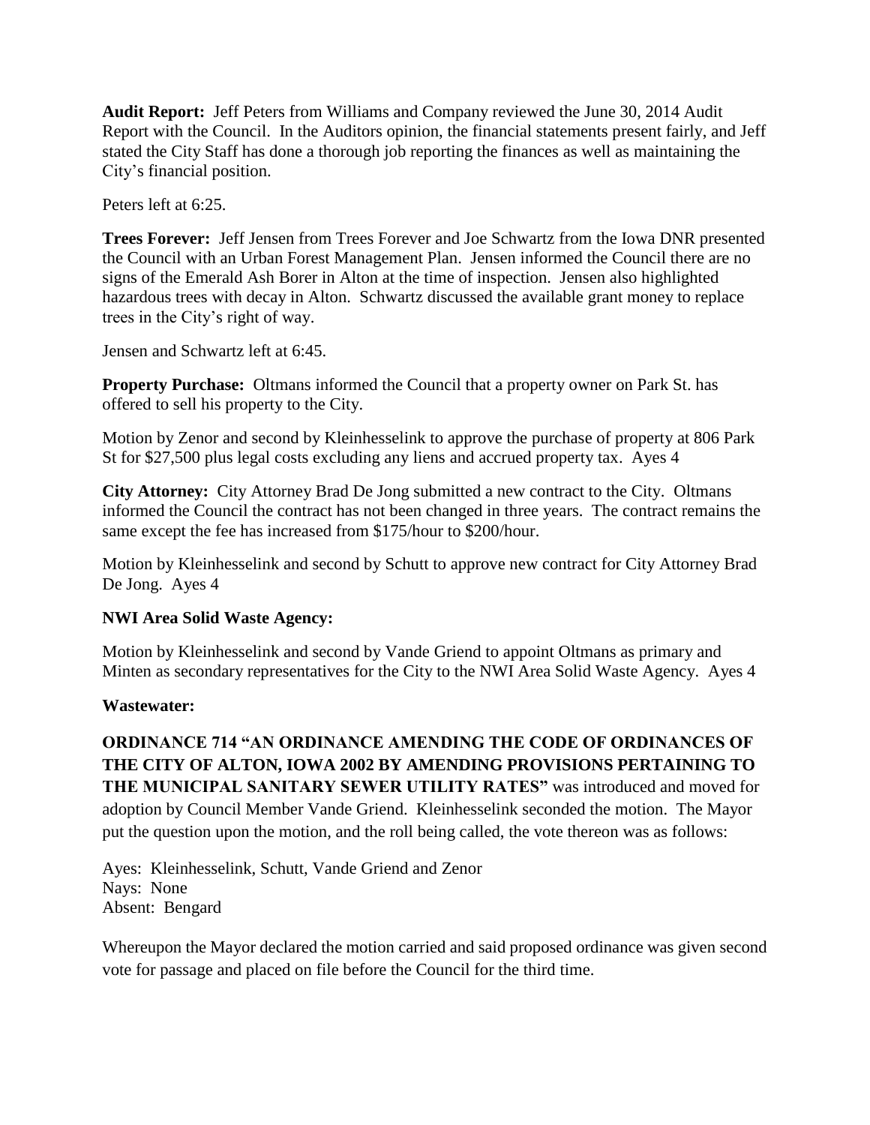**Audit Report:** Jeff Peters from Williams and Company reviewed the June 30, 2014 Audit Report with the Council. In the Auditors opinion, the financial statements present fairly, and Jeff stated the City Staff has done a thorough job reporting the finances as well as maintaining the City's financial position.

Peters left at 6:25.

**Trees Forever:** Jeff Jensen from Trees Forever and Joe Schwartz from the Iowa DNR presented the Council with an Urban Forest Management Plan. Jensen informed the Council there are no signs of the Emerald Ash Borer in Alton at the time of inspection. Jensen also highlighted hazardous trees with decay in Alton. Schwartz discussed the available grant money to replace trees in the City's right of way.

Jensen and Schwartz left at 6:45.

**Property Purchase:** Oltmans informed the Council that a property owner on Park St. has offered to sell his property to the City.

Motion by Zenor and second by Kleinhesselink to approve the purchase of property at 806 Park St for \$27,500 plus legal costs excluding any liens and accrued property tax. Ayes 4

**City Attorney:** City Attorney Brad De Jong submitted a new contract to the City. Oltmans informed the Council the contract has not been changed in three years. The contract remains the same except the fee has increased from \$175/hour to \$200/hour.

Motion by Kleinhesselink and second by Schutt to approve new contract for City Attorney Brad De Jong. Ayes 4

## **NWI Area Solid Waste Agency:**

Motion by Kleinhesselink and second by Vande Griend to appoint Oltmans as primary and Minten as secondary representatives for the City to the NWI Area Solid Waste Agency. Ayes 4

## **Wastewater:**

**ORDINANCE 714 "AN ORDINANCE AMENDING THE CODE OF ORDINANCES OF THE CITY OF ALTON, IOWA 2002 BY AMENDING PROVISIONS PERTAINING TO THE MUNICIPAL SANITARY SEWER UTILITY RATES"** was introduced and moved for adoption by Council Member Vande Griend. Kleinhesselink seconded the motion. The Mayor put the question upon the motion, and the roll being called, the vote thereon was as follows:

Ayes: Kleinhesselink, Schutt, Vande Griend and Zenor Nays: None Absent: Bengard

Whereupon the Mayor declared the motion carried and said proposed ordinance was given second vote for passage and placed on file before the Council for the third time.